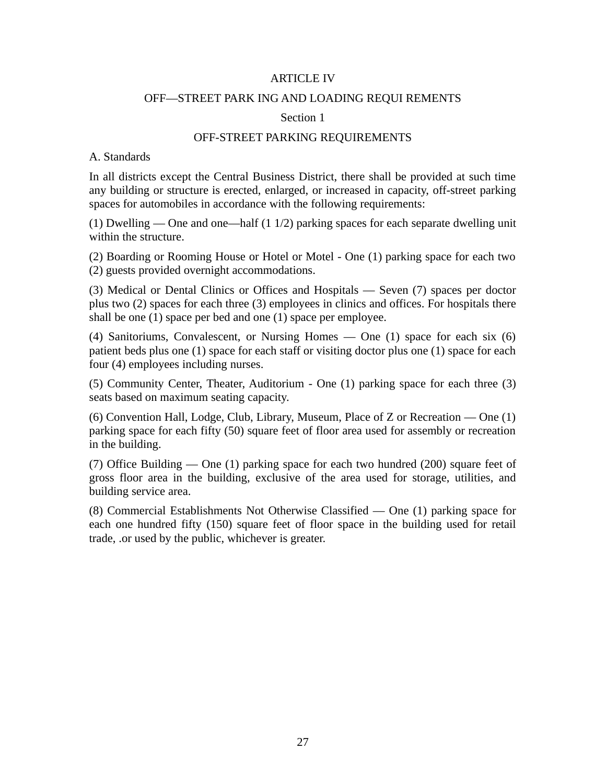#### ARTICLE IV

#### OFF—STREET PARK ING AND LOADING REQUI REMENTS

#### Section 1

#### OFF-STREET PARKING REQUIREMENTS

#### A. Standards

In all districts except the Central Business District, there shall be provided at such time any building or structure is erected, enlarged, or increased in capacity, off-street parking spaces for automobiles in accordance with the following requirements:

(1) Dwelling — One and one—half (1 1/2) parking spaces for each separate dwelling unit within the structure.

(2) Boarding or Rooming House or Hotel or Motel - One (1) parking space for each two (2) guests provided overnight accommodations.

(3) Medical or Dental Clinics or Offices and Hospitals — Seven (7) spaces per doctor plus two (2) spaces for each three (3) employees in clinics and offices. For hospitals there shall be one (1) space per bed and one (1) space per employee.

(4) Sanitoriums, Convalescent, or Nursing Homes — One (1) space for each six (6) patient beds plus one (1) space for each staff or visiting doctor plus one (1) space for each four (4) employees including nurses.

(5) Community Center, Theater, Auditorium - One (1) parking space for each three (3) seats based on maximum seating capacity.

(6) Convention Hall, Lodge, Club, Library, Museum, Place of Z or Recreation — One (1) parking space for each fifty (50) square feet of floor area used for assembly or recreation in the building.

(7) Office Building — One (1) parking space for each two hundred (200) square feet of gross floor area in the building, exclusive of the area used for storage, utilities, and building service area.

(8) Commercial Establishments Not Otherwise Classified — One (1) parking space for each one hundred fifty (150) square feet of floor space in the building used for retail trade, .or used by the public, whichever is greater.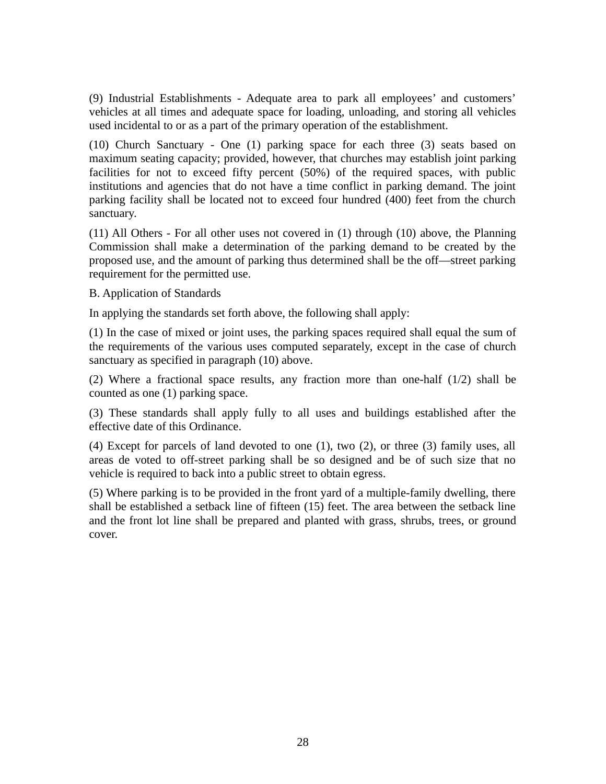(9) Industrial Establishments - Adequate area to park all employees' and customers' vehicles at all times and adequate space for loading, unloading, and storing all vehicles used incidental to or as a part of the primary operation of the establishment.

(10) Church Sanctuary - One (1) parking space for each three (3) seats based on maximum seating capacity; provided, however, that churches may establish joint parking facilities for not to exceed fifty percent (50%) of the required spaces, with public institutions and agencies that do not have a time conflict in parking demand. The joint parking facility shall be located not to exceed four hundred (400) feet from the church sanctuary.

(11) All Others - For all other uses not covered in (1) through (10) above, the Planning Commission shall make a determination of the parking demand to be created by the proposed use, and the amount of parking thus determined shall be the off—street parking requirement for the permitted use.

## B. Application of Standards

In applying the standards set forth above, the following shall apply:

(1) In the case of mixed or joint uses, the parking spaces required shall equal the sum of the requirements of the various uses computed separately, except in the case of church sanctuary as specified in paragraph (10) above.

(2) Where a fractional space results, any fraction more than one-half (1/2) shall be counted as one (1) parking space.

(3) These standards shall apply fully to all uses and buildings established after the effective date of this Ordinance.

(4) Except for parcels of land devoted to one (1), two (2), or three (3) family uses, all areas de voted to off-street parking shall be so designed and be of such size that no vehicle is required to back into a public street to obtain egress.

(5) Where parking is to be provided in the front yard of a multiple-family dwelling, there shall be established a setback line of fifteen (15) feet. The area between the setback line and the front lot line shall be prepared and planted with grass, shrubs, trees, or ground cover.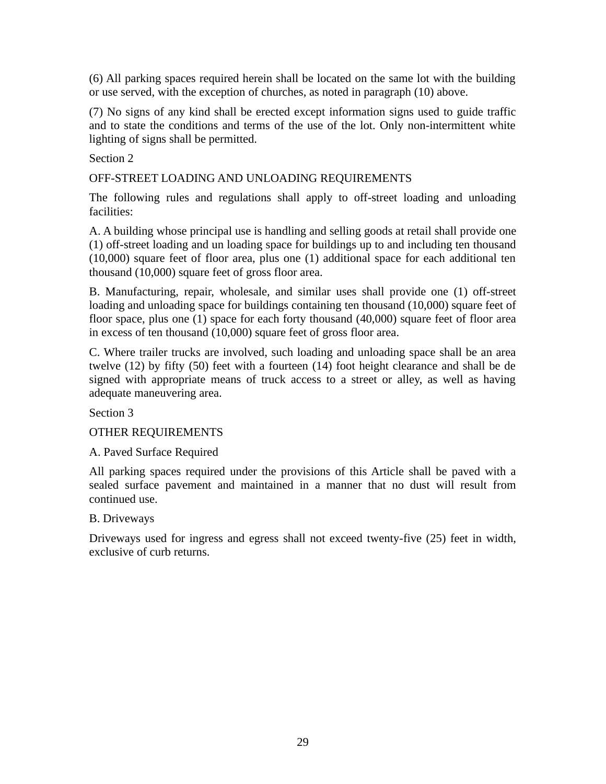(6) All parking spaces required herein shall be located on the same lot with the building or use served, with the exception of churches, as noted in paragraph (10) above.

(7) No signs of any kind shall be erected except information signs used to guide traffic and to state the conditions and terms of the use of the lot. Only non-intermittent white lighting of signs shall be permitted.

Section 2

OFF-STREET LOADING AND UNLOADING REQUIREMENTS

The following rules and regulations shall apply to off-street loading and unloading facilities:

A. A building whose principal use is handling and selling goods at retail shall provide one (1) off-street loading and un loading space for buildings up to and including ten thousand (10,000) square feet of floor area, plus one (1) additional space for each additional ten thousand (10,000) square feet of gross floor area.

B. Manufacturing, repair, wholesale, and similar uses shall provide one (1) off-street loading and unloading space for buildings containing ten thousand (10,000) square feet of floor space, plus one (1) space for each forty thousand (40,000) square feet of floor area in excess of ten thousand (10,000) square feet of gross floor area.

C. Where trailer trucks are involved, such loading and unloading space shall be an area twelve (12) by fifty (50) feet with a fourteen (14) foot height clearance and shall be de signed with appropriate means of truck access to a street or alley, as well as having adequate maneuvering area.

Section 3

OTHER REQUIREMENTS

A. Paved Surface Required

All parking spaces required under the provisions of this Article shall be paved with a sealed surface pavement and maintained in a manner that no dust will result from continued use.

B. Driveways

Driveways used for ingress and egress shall not exceed twenty-five (25) feet in width, exclusive of curb returns.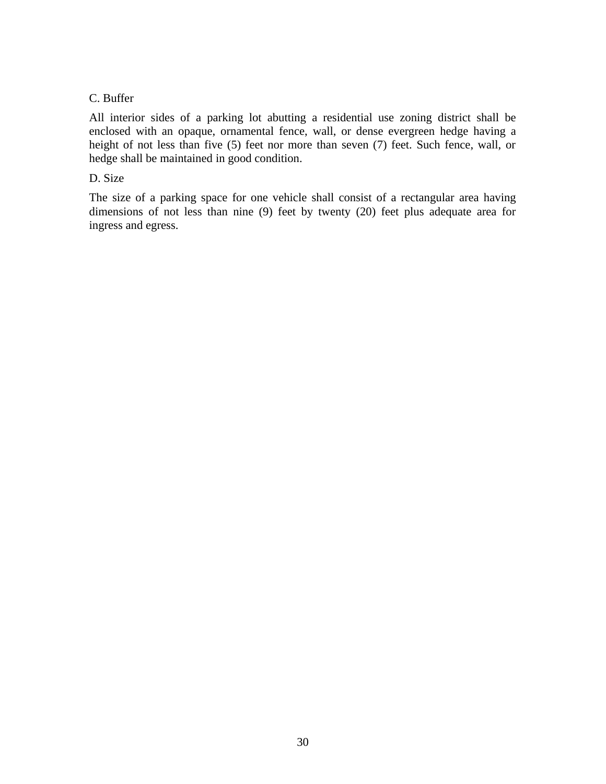# C. Buffer

All interior sides of a parking lot abutting a residential use zoning district shall be enclosed with an opaque, ornamental fence, wall, or dense evergreen hedge having a height of not less than five (5) feet nor more than seven (7) feet. Such fence, wall, or hedge shall be maintained in good condition.

# D. Size

The size of a parking space for one vehicle shall consist of a rectangular area having dimensions of not less than nine (9) feet by twenty (20) feet plus adequate area for ingress and egress.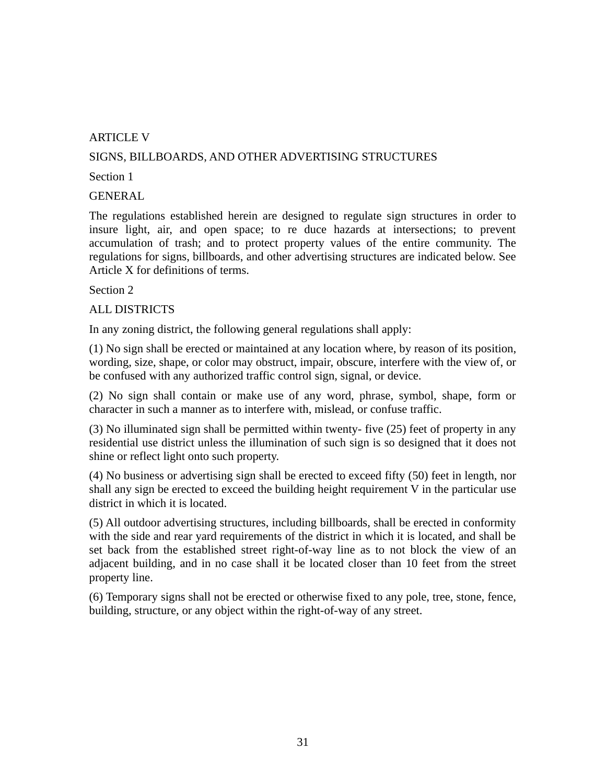# ARTICLE V

# SIGNS, BILLBOARDS, AND OTHER ADVERTISING STRUCTURES

#### Section 1

GENERAL

The regulations established herein are designed to regulate sign structures in order to insure light, air, and open space; to re duce hazards at intersections; to prevent accumulation of trash; and to protect property values of the entire community. The regulations for signs, billboards, and other advertising structures are indicated below. See Article X for definitions of terms.

Section 2

#### ALL DISTRICTS

In any zoning district, the following general regulations shall apply:

(1) No sign shall be erected or maintained at any location where, by reason of its position, wording, size, shape, or color may obstruct, impair, obscure, interfere with the view of, or be confused with any authorized traffic control sign, signal, or device.

(2) No sign shall contain or make use of any word, phrase, symbol, shape, form or character in such a manner as to interfere with, mislead, or confuse traffic.

(3) No illuminated sign shall be permitted within twenty- five (25) feet of property in any residential use district unless the illumination of such sign is so designed that it does not shine or reflect light onto such property.

(4) No business or advertising sign shall be erected to exceed fifty (50) feet in length, nor shall any sign be erected to exceed the building height requirement V in the particular use district in which it is located.

(5) All outdoor advertising structures, including billboards, shall be erected in conformity with the side and rear yard requirements of the district in which it is located, and shall be set back from the established street right-of-way line as to not block the view of an adjacent building, and in no case shall it be located closer than 10 feet from the street property line.

(6) Temporary signs shall not be erected or otherwise fixed to any pole, tree, stone, fence, building, structure, or any object within the right-of-way of any street.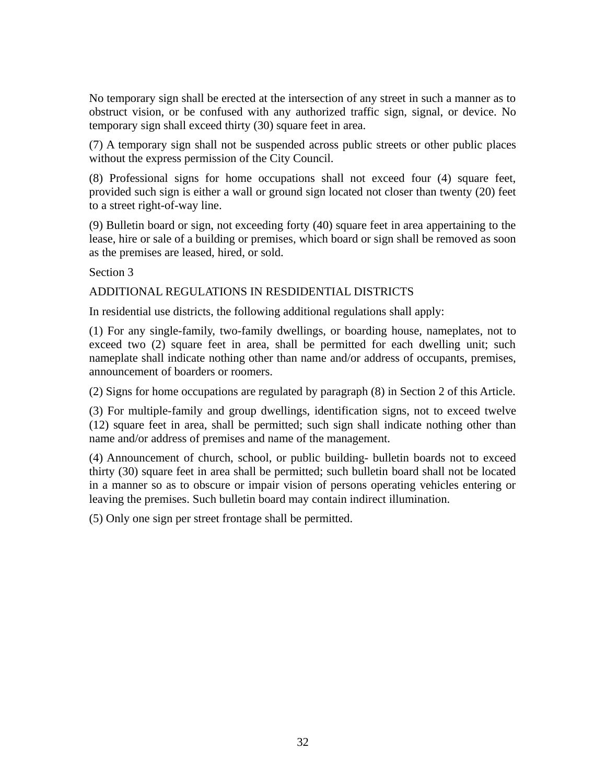No temporary sign shall be erected at the intersection of any street in such a manner as to obstruct vision, or be confused with any authorized traffic sign, signal, or device. No temporary sign shall exceed thirty (30) square feet in area.

(7) A temporary sign shall not be suspended across public streets or other public places without the express permission of the City Council.

(8) Professional signs for home occupations shall not exceed four (4) square feet, provided such sign is either a wall or ground sign located not closer than twenty (20) feet to a street right-of-way line.

(9) Bulletin board or sign, not exceeding forty (40) square feet in area appertaining to the lease, hire or sale of a building or premises, which board or sign shall be removed as soon as the premises are leased, hired, or sold.

Section 3

# ADDITIONAL REGULATIONS IN RESDIDENTIAL DISTRICTS

In residential use districts, the following additional regulations shall apply:

(1) For any single-family, two-family dwellings, or boarding house, nameplates, not to exceed two (2) square feet in area, shall be permitted for each dwelling unit; such nameplate shall indicate nothing other than name and/or address of occupants, premises, announcement of boarders or roomers.

(2) Signs for home occupations are regulated by paragraph (8) in Section 2 of this Article.

(3) For multiple-family and group dwellings, identification signs, not to exceed twelve (12) square feet in area, shall be permitted; such sign shall indicate nothing other than name and/or address of premises and name of the management.

(4) Announcement of church, school, or public building- bulletin boards not to exceed thirty (30) square feet in area shall be permitted; such bulletin board shall not be located in a manner so as to obscure or impair vision of persons operating vehicles entering or leaving the premises. Such bulletin board may contain indirect illumination.

(5) Only one sign per street frontage shall be permitted.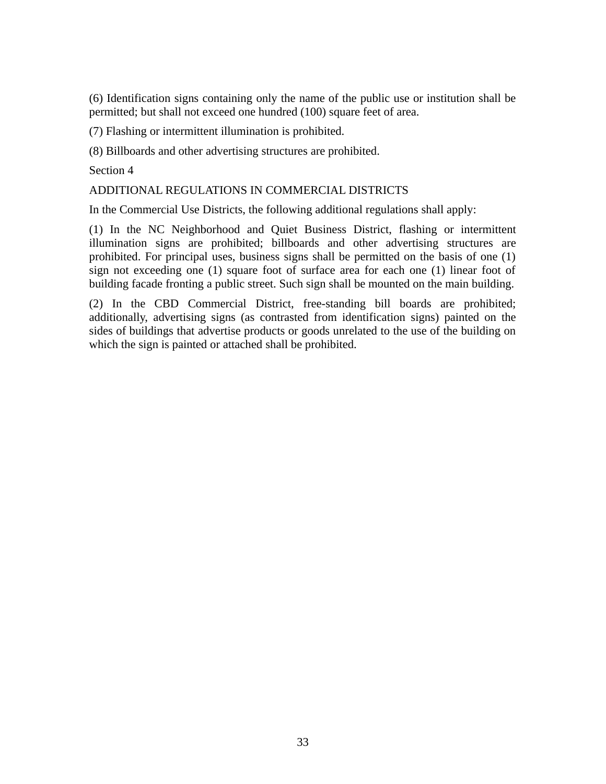(6) Identification signs containing only the name of the public use or institution shall be permitted; but shall not exceed one hundred (100) square feet of area.

(7) Flashing or intermittent illumination is prohibited.

(8) Billboards and other advertising structures are prohibited.

Section 4

## ADDITIONAL REGULATIONS IN COMMERCIAL DISTRICTS

In the Commercial Use Districts, the following additional regulations shall apply:

(1) In the NC Neighborhood and Quiet Business District, flashing or intermittent illumination signs are prohibited; billboards and other advertising structures are prohibited. For principal uses, business signs shall be permitted on the basis of one (1) sign not exceeding one (1) square foot of surface area for each one (1) linear foot of building facade fronting a public street. Such sign shall be mounted on the main building.

(2) In the CBD Commercial District, free-standing bill boards are prohibited; additionally, advertising signs (as contrasted from identification signs) painted on the sides of buildings that advertise products or goods unrelated to the use of the building on which the sign is painted or attached shall be prohibited.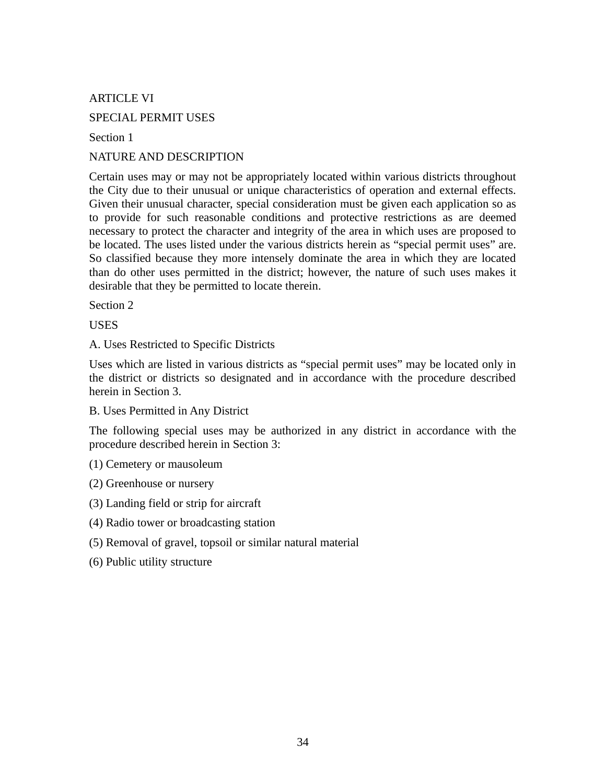ARTICLE VI

SPECIAL PERMIT USES

Section 1

NATURE AND DESCRIPTION

Certain uses may or may not be appropriately located within various districts throughout the City due to their unusual or unique characteristics of operation and external effects. Given their unusual character, special consideration must be given each application so as to provide for such reasonable conditions and protective restrictions as are deemed necessary to protect the character and integrity of the area in which uses are proposed to be located. The uses listed under the various districts herein as "special permit uses" are. So classified because they more intensely dominate the area in which they are located than do other uses permitted in the district; however, the nature of such uses makes it desirable that they be permitted to locate therein.

Section 2

**USES** 

A. Uses Restricted to Specific Districts

Uses which are listed in various districts as "special permit uses" may be located only in the district or districts so designated and in accordance with the procedure described herein in Section 3.

B. Uses Permitted in Any District

The following special uses may be authorized in any district in accordance with the procedure described herein in Section 3:

(1) Cemetery or mausoleum

(2) Greenhouse or nursery

- (3) Landing field or strip for aircraft
- (4) Radio tower or broadcasting station
- (5) Removal of gravel, topsoil or similar natural material
- (6) Public utility structure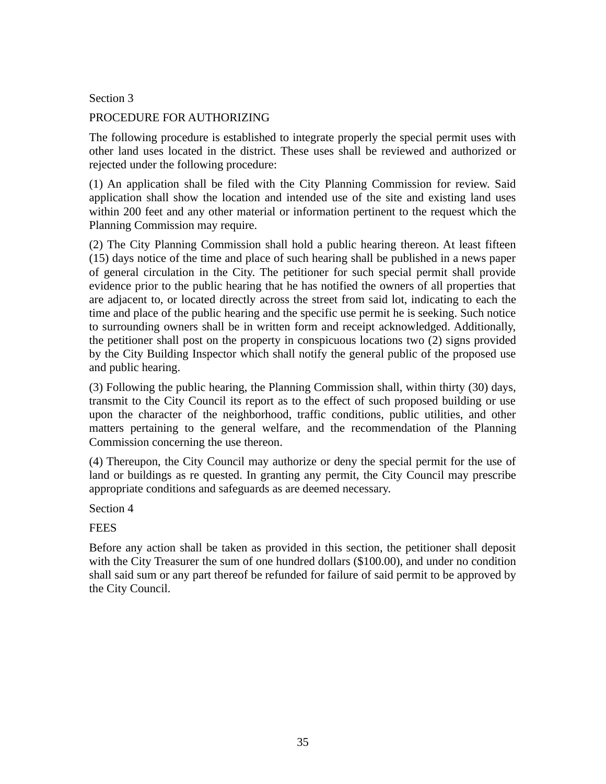Section 3

# PROCEDURE FOR AUTHORIZING

The following procedure is established to integrate properly the special permit uses with other land uses located in the district. These uses shall be reviewed and authorized or rejected under the following procedure:

(1) An application shall be filed with the City Planning Commission for review. Said application shall show the location and intended use of the site and existing land uses within 200 feet and any other material or information pertinent to the request which the Planning Commission may require.

(2) The City Planning Commission shall hold a public hearing thereon. At least fifteen (15) days notice of the time and place of such hearing shall be published in a news paper of general circulation in the City. The petitioner for such special permit shall provide evidence prior to the public hearing that he has notified the owners of all properties that are adjacent to, or located directly across the street from said lot, indicating to each the time and place of the public hearing and the specific use permit he is seeking. Such notice to surrounding owners shall be in written form and receipt acknowledged. Additionally, the petitioner shall post on the property in conspicuous locations two (2) signs provided by the City Building Inspector which shall notify the general public of the proposed use and public hearing.

(3) Following the public hearing, the Planning Commission shall, within thirty (30) days, transmit to the City Council its report as to the effect of such proposed building or use upon the character of the neighborhood, traffic conditions, public utilities, and other matters pertaining to the general welfare, and the recommendation of the Planning Commission concerning the use thereon.

(4) Thereupon, the City Council may authorize or deny the special permit for the use of land or buildings as re quested. In granting any permit, the City Council may prescribe appropriate conditions and safeguards as are deemed necessary.

Section 4

FEES

Before any action shall be taken as provided in this section, the petitioner shall deposit with the City Treasurer the sum of one hundred dollars (\$100.00), and under no condition shall said sum or any part thereof be refunded for failure of said permit to be approved by the City Council.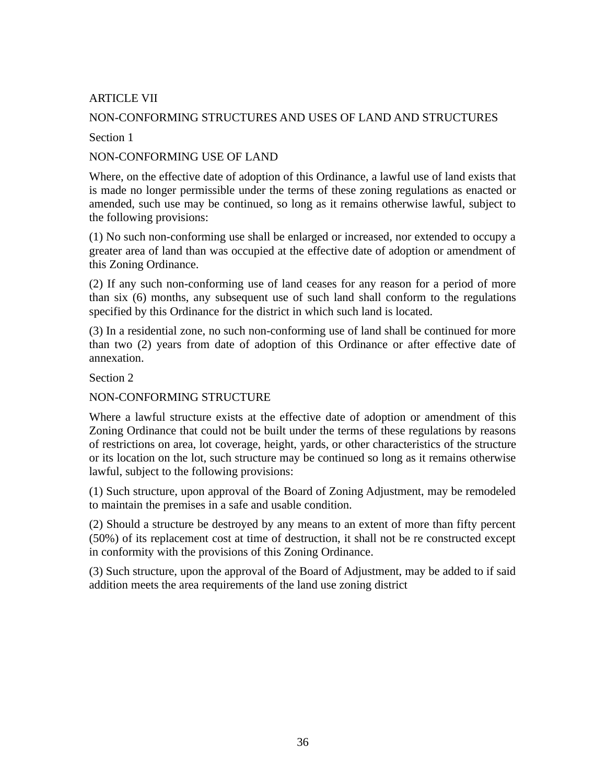# ARTICLE VII

# NON-CONFORMING STRUCTURES AND USES OF LAND AND STRUCTURES

Section 1

## NON-CONFORMING USE OF LAND

Where, on the effective date of adoption of this Ordinance, a lawful use of land exists that is made no longer permissible under the terms of these zoning regulations as enacted or amended, such use may be continued, so long as it remains otherwise lawful, subject to the following provisions:

(1) No such non-conforming use shall be enlarged or increased, nor extended to occupy a greater area of land than was occupied at the effective date of adoption or amendment of this Zoning Ordinance.

(2) If any such non-conforming use of land ceases for any reason for a period of more than six (6) months, any subsequent use of such land shall conform to the regulations specified by this Ordinance for the district in which such land is located.

(3) In a residential zone, no such non-conforming use of land shall be continued for more than two (2) years from date of adoption of this Ordinance or after effective date of annexation.

Section 2

# NON-CONFORMING STRUCTURE

Where a lawful structure exists at the effective date of adoption or amendment of this Zoning Ordinance that could not be built under the terms of these regulations by reasons of restrictions on area, lot coverage, height, yards, or other characteristics of the structure or its location on the lot, such structure may be continued so long as it remains otherwise lawful, subject to the following provisions:

(1) Such structure, upon approval of the Board of Zoning Adjustment, may be remodeled to maintain the premises in a safe and usable condition.

(2) Should a structure be destroyed by any means to an extent of more than fifty percent (50%) of its replacement cost at time of destruction, it shall not be re constructed except in conformity with the provisions of this Zoning Ordinance.

(3) Such structure, upon the approval of the Board of Adjustment, may be added to if said addition meets the area requirements of the land use zoning district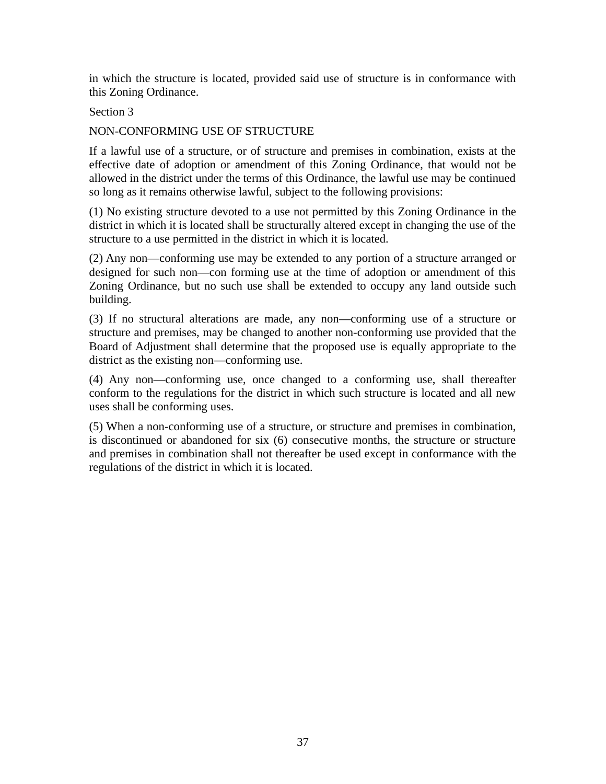in which the structure is located, provided said use of structure is in conformance with this Zoning Ordinance.

### Section 3

### NON-CONFORMING USE OF STRUCTURE

If a lawful use of a structure, or of structure and premises in combination, exists at the effective date of adoption or amendment of this Zoning Ordinance, that would not be allowed in the district under the terms of this Ordinance, the lawful use may be continued so long as it remains otherwise lawful, subject to the following provisions:

(1) No existing structure devoted to a use not permitted by this Zoning Ordinance in the district in which it is located shall be structurally altered except in changing the use of the structure to a use permitted in the district in which it is located.

(2) Any non—conforming use may be extended to any portion of a structure arranged or designed for such non—con forming use at the time of adoption or amendment of this Zoning Ordinance, but no such use shall be extended to occupy any land outside such building.

(3) If no structural alterations are made, any non—conforming use of a structure or structure and premises, may be changed to another non-conforming use provided that the Board of Adjustment shall determine that the proposed use is equally appropriate to the district as the existing non—conforming use.

(4) Any non—conforming use, once changed to a conforming use, shall thereafter conform to the regulations for the district in which such structure is located and all new uses shall be conforming uses.

(5) When a non-conforming use of a structure, or structure and premises in combination, is discontinued or abandoned for six (6) consecutive months, the structure or structure and premises in combination shall not thereafter be used except in conformance with the regulations of the district in which it is located.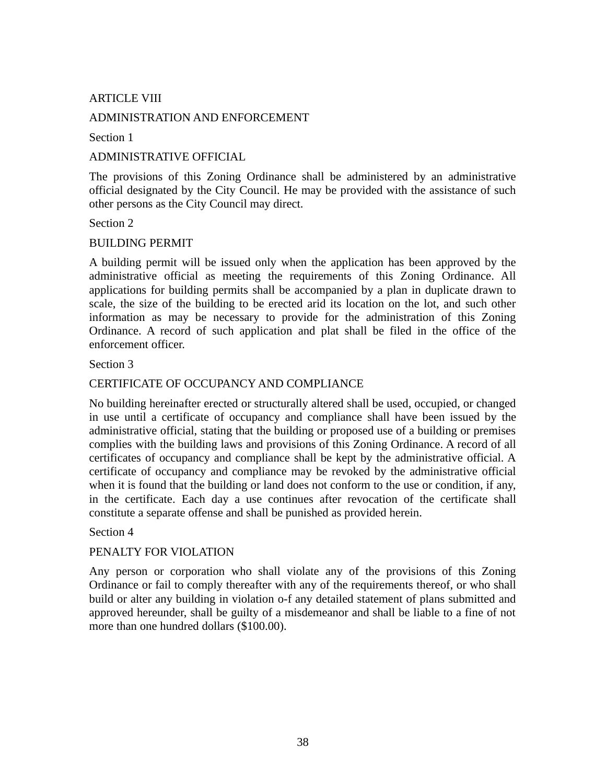# ARTICLE VIII

#### ADMINISTRATION AND ENFORCEMENT

Section 1

#### ADMINISTRATIVE OFFICIAL

The provisions of this Zoning Ordinance shall be administered by an administrative official designated by the City Council. He may be provided with the assistance of such other persons as the City Council may direct.

Section 2

#### BUILDING PERMIT

A building permit will be issued only when the application has been approved by the administrative official as meeting the requirements of this Zoning Ordinance. All applications for building permits shall be accompanied by a plan in duplicate drawn to scale, the size of the building to be erected arid its location on the lot, and such other information as may be necessary to provide for the administration of this Zoning Ordinance. A record of such application and plat shall be filed in the office of the enforcement officer.

Section 3

## CERTIFICATE OF OCCUPANCY AND COMPLIANCE

No building hereinafter erected or structurally altered shall be used, occupied, or changed in use until a certificate of occupancy and compliance shall have been issued by the administrative official, stating that the building or proposed use of a building or premises complies with the building laws and provisions of this Zoning Ordinance. A record of all certificates of occupancy and compliance shall be kept by the administrative official. A certificate of occupancy and compliance may be revoked by the administrative official when it is found that the building or land does not conform to the use or condition, if any, in the certificate. Each day a use continues after revocation of the certificate shall constitute a separate offense and shall be punished as provided herein.

#### Section 4

### PENALTY FOR VIOLATION

Any person or corporation who shall violate any of the provisions of this Zoning Ordinance or fail to comply thereafter with any of the requirements thereof, or who shall build or alter any building in violation o-f any detailed statement of plans submitted and approved hereunder, shall be guilty of a misdemeanor and shall be liable to a fine of not more than one hundred dollars (\$100.00).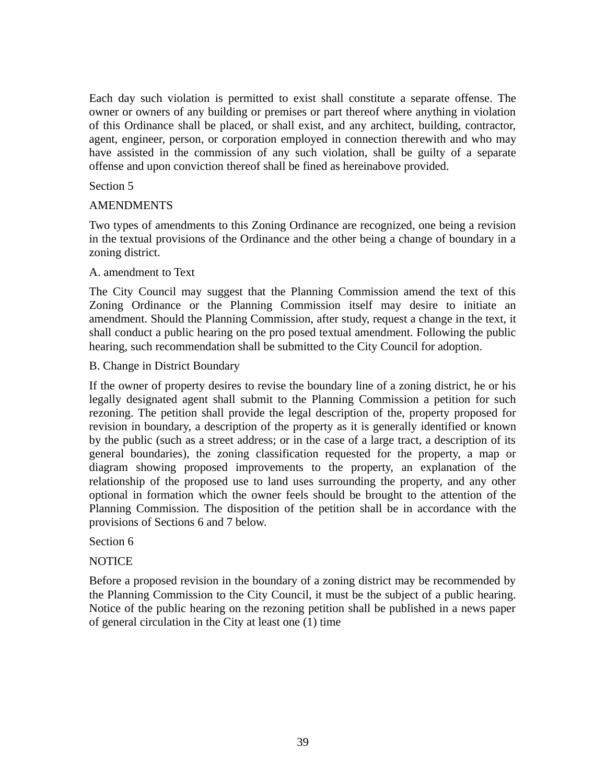Each day such violation is permitted to exist shall constitute a separate offense. The owner or owners of any building or premises or part thereof where anything in violation of this Ordinance shall be placed, or shall exist, and any architect, building, contractor, agent, engineer, person, or corporation employed in connection therewith and who may have assisted in the commission of any such violation, shall be guilty of a separate offense and upon conviction thereof shall be fined as hereinabove provided.

### Section 5

## AMENDMENTS

Two types of amendments to this Zoning Ordinance are recognized, one being a revision in the textual provisions of the Ordinance and the other being a change of boundary in a zoning district.

## A. amendment to Text

The City Council may suggest that the Planning Commission amend the text of this Zoning Ordinance or the Planning Commission itself may desire to initiate an amendment. Should the Planning Commission, after study, request a change in the text, it shall conduct a public hearing on the pro posed textual amendment. Following the public hearing, such recommendation shall be submitted to the City Council for adoption.

### B. Change in District Boundary

If the owner of property desires to revise the boundary line of a zoning district, he or his legally designated agent shall submit to the Planning Commission a petition for such rezoning. The petition shall provide the legal description of the, property proposed for revision in boundary, a description of the property as it is generally identified or known by the public (such as a street address; or in the case of a large tract, a description of its general boundaries), the zoning classification requested for the property, a map or diagram showing proposed improvements to the property, an explanation of the relationship of the proposed use to land uses surrounding the property, and any other optional in formation which the owner feels should be brought to the attention of the Planning Commission. The disposition of the petition shall be in accordance with the provisions of Sections 6 and 7 below.

# Section 6

# NOTICE

Before a proposed revision in the boundary of a zoning district may be recommended by the Planning Commission to the City Council, it must be the subject of a public hearing. Notice of the public hearing on the rezoning petition shall be published in a news paper of general circulation in the City at least one (1) time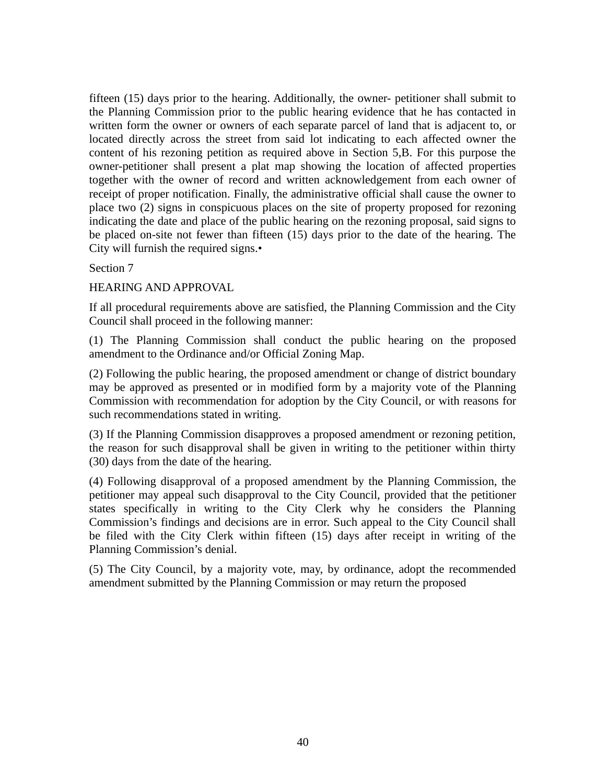fifteen (15) days prior to the hearing. Additionally, the owner- petitioner shall submit to the Planning Commission prior to the public hearing evidence that he has contacted in written form the owner or owners of each separate parcel of land that is adjacent to, or located directly across the street from said lot indicating to each affected owner the content of his rezoning petition as required above in Section 5,B. For this purpose the owner-petitioner shall present a plat map showing the location of affected properties together with the owner of record and written acknowledgement from each owner of receipt of proper notification. Finally, the administrative official shall cause the owner to place two (2) signs in conspicuous places on the site of property proposed for rezoning indicating the date and place of the public hearing on the rezoning proposal, said signs to be placed on-site not fewer than fifteen (15) days prior to the date of the hearing. The City will furnish the required signs.•

Section 7

HEARING AND APPROVAL

If all procedural requirements above are satisfied, the Planning Commission and the City Council shall proceed in the following manner:

(1) The Planning Commission shall conduct the public hearing on the proposed amendment to the Ordinance and/or Official Zoning Map.

(2) Following the public hearing, the proposed amendment or change of district boundary may be approved as presented or in modified form by a majority vote of the Planning Commission with recommendation for adoption by the City Council, or with reasons for such recommendations stated in writing.

(3) If the Planning Commission disapproves a proposed amendment or rezoning petition, the reason for such disapproval shall be given in writing to the petitioner within thirty (30) days from the date of the hearing.

(4) Following disapproval of a proposed amendment by the Planning Commission, the petitioner may appeal such disapproval to the City Council, provided that the petitioner states specifically in writing to the City Clerk why he considers the Planning Commission's findings and decisions are in error. Such appeal to the City Council shall be filed with the City Clerk within fifteen (15) days after receipt in writing of the Planning Commission's denial.

(5) The City Council, by a majority vote, may, by ordinance, adopt the recommended amendment submitted by the Planning Commission or may return the proposed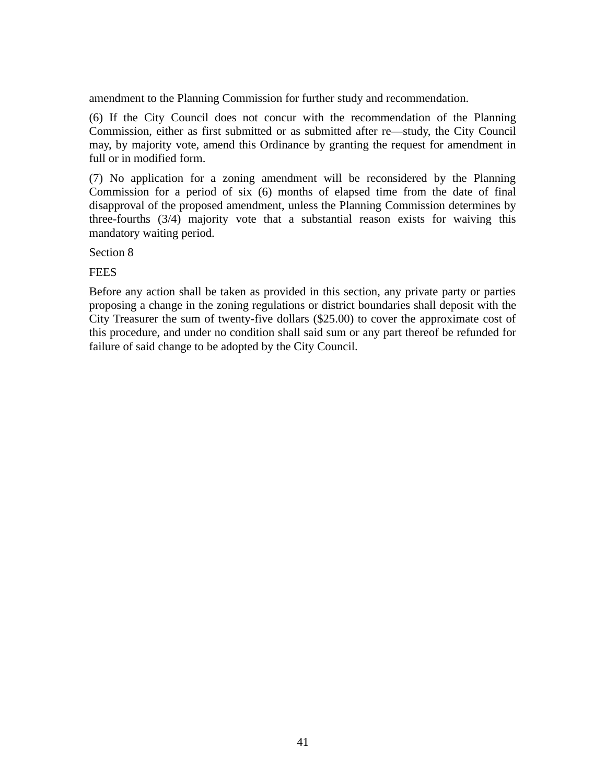amendment to the Planning Commission for further study and recommendation.

(6) If the City Council does not concur with the recommendation of the Planning Commission, either as first submitted or as submitted after re—study, the City Council may, by majority vote, amend this Ordinance by granting the request for amendment in full or in modified form.

(7) No application for a zoning amendment will be reconsidered by the Planning Commission for a period of six (6) months of elapsed time from the date of final disapproval of the proposed amendment, unless the Planning Commission determines by three-fourths (3/4) majority vote that a substantial reason exists for waiving this mandatory waiting period.

Section 8

FEES

Before any action shall be taken as provided in this section, any private party or parties proposing a change in the zoning regulations or district boundaries shall deposit with the City Treasurer the sum of twenty-five dollars (\$25.00) to cover the approximate cost of this procedure, and under no condition shall said sum or any part thereof be refunded for failure of said change to be adopted by the City Council.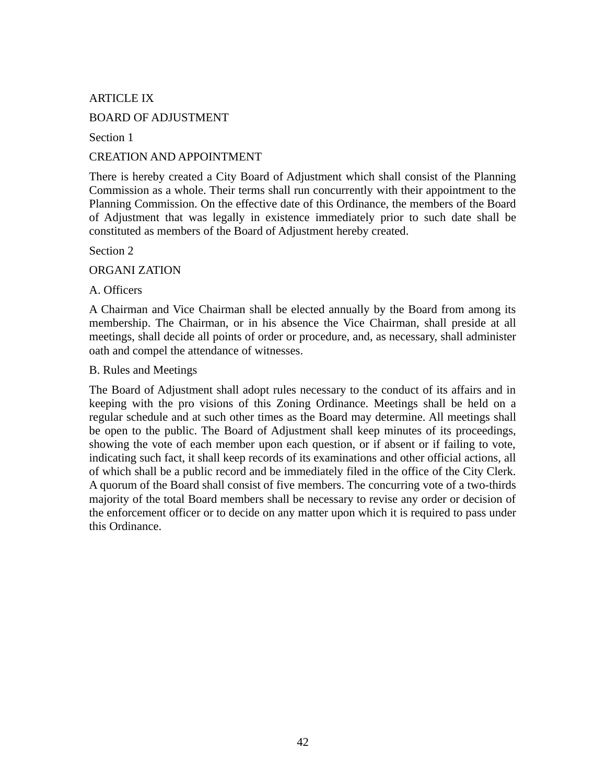# ARTICLE IX

## BOARD OF ADJUSTMENT

Section 1

## CREATION AND APPOINTMENT

There is hereby created a City Board of Adjustment which shall consist of the Planning Commission as a whole. Their terms shall run concurrently with their appointment to the Planning Commission. On the effective date of this Ordinance, the members of the Board of Adjustment that was legally in existence immediately prior to such date shall be constituted as members of the Board of Adjustment hereby created.

Section 2

ORGANI ZATION

#### A. Officers

A Chairman and Vice Chairman shall be elected annually by the Board from among its membership. The Chairman, or in his absence the Vice Chairman, shall preside at all meetings, shall decide all points of order or procedure, and, as necessary, shall administer oath and compel the attendance of witnesses.

#### B. Rules and Meetings

The Board of Adjustment shall adopt rules necessary to the conduct of its affairs and in keeping with the pro visions of this Zoning Ordinance. Meetings shall be held on a regular schedule and at such other times as the Board may determine. All meetings shall be open to the public. The Board of Adjustment shall keep minutes of its proceedings, showing the vote of each member upon each question, or if absent or if failing to vote, indicating such fact, it shall keep records of its examinations and other official actions, all of which shall be a public record and be immediately filed in the office of the City Clerk. A quorum of the Board shall consist of five members. The concurring vote of a two-thirds majority of the total Board members shall be necessary to revise any order or decision of the enforcement officer or to decide on any matter upon which it is required to pass under this Ordinance.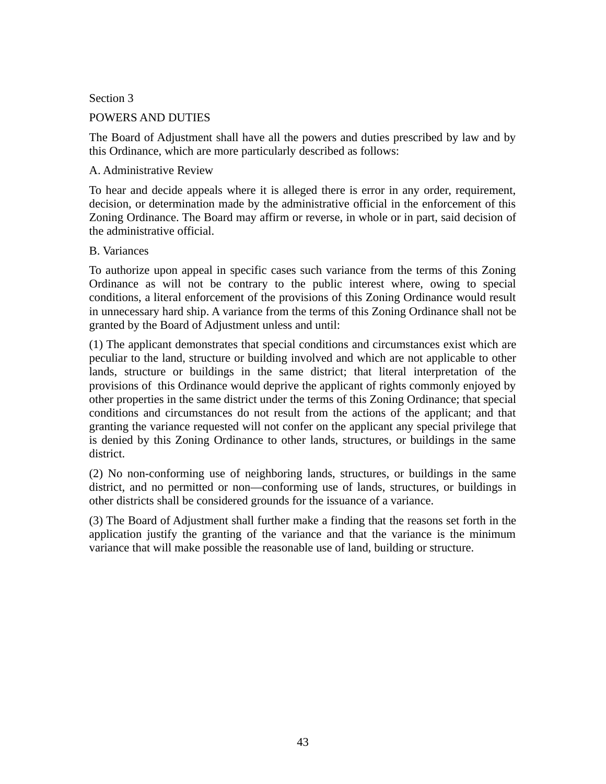### Section 3

# POWERS AND DUTIES

The Board of Adjustment shall have all the powers and duties prescribed by law and by this Ordinance, which are more particularly described as follows:

### A. Administrative Review

To hear and decide appeals where it is alleged there is error in any order, requirement, decision, or determination made by the administrative official in the enforcement of this Zoning Ordinance. The Board may affirm or reverse, in whole or in part, said decision of the administrative official.

## B. Variances

To authorize upon appeal in specific cases such variance from the terms of this Zoning Ordinance as will not be contrary to the public interest where, owing to special conditions, a literal enforcement of the provisions of this Zoning Ordinance would result in unnecessary hard ship. A variance from the terms of this Zoning Ordinance shall not be granted by the Board of Adjustment unless and until:

(1) The applicant demonstrates that special conditions and circumstances exist which are peculiar to the land, structure or building involved and which are not applicable to other lands, structure or buildings in the same district; that literal interpretation of the provisions of this Ordinance would deprive the applicant of rights commonly enjoyed by other properties in the same district under the terms of this Zoning Ordinance; that special conditions and circumstances do not result from the actions of the applicant; and that granting the variance requested will not confer on the applicant any special privilege that is denied by this Zoning Ordinance to other lands, structures, or buildings in the same district.

(2) No non-conforming use of neighboring lands, structures, or buildings in the same district, and no permitted or non—conforming use of lands, structures, or buildings in other districts shall be considered grounds for the issuance of a variance.

(3) The Board of Adjustment shall further make a finding that the reasons set forth in the application justify the granting of the variance and that the variance is the minimum variance that will make possible the reasonable use of land, building or structure.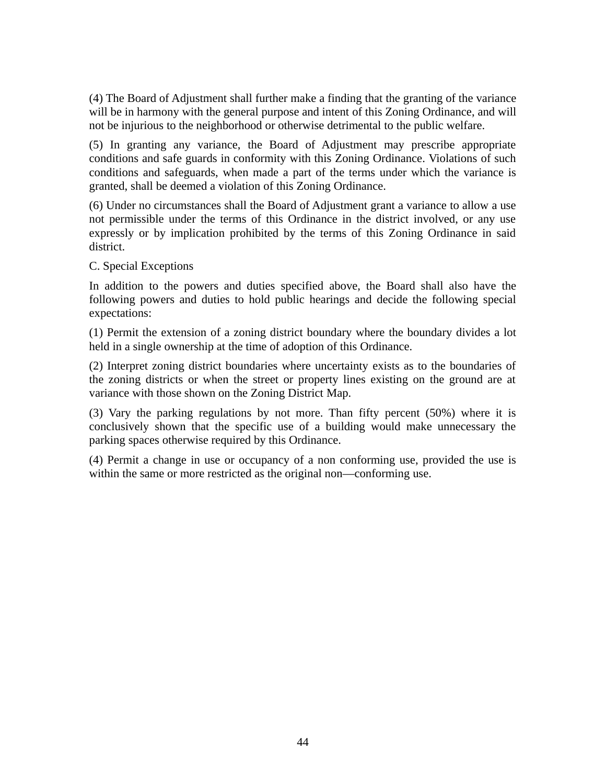(4) The Board of Adjustment shall further make a finding that the granting of the variance will be in harmony with the general purpose and intent of this Zoning Ordinance, and will not be injurious to the neighborhood or otherwise detrimental to the public welfare.

(5) In granting any variance, the Board of Adjustment may prescribe appropriate conditions and safe guards in conformity with this Zoning Ordinance. Violations of such conditions and safeguards, when made a part of the terms under which the variance is granted, shall be deemed a violation of this Zoning Ordinance.

(6) Under no circumstances shall the Board of Adjustment grant a variance to allow a use not permissible under the terms of this Ordinance in the district involved, or any use expressly or by implication prohibited by the terms of this Zoning Ordinance in said district.

## C. Special Exceptions

In addition to the powers and duties specified above, the Board shall also have the following powers and duties to hold public hearings and decide the following special expectations:

(1) Permit the extension of a zoning district boundary where the boundary divides a lot held in a single ownership at the time of adoption of this Ordinance.

(2) Interpret zoning district boundaries where uncertainty exists as to the boundaries of the zoning districts or when the street or property lines existing on the ground are at variance with those shown on the Zoning District Map.

(3) Vary the parking regulations by not more. Than fifty percent (50%) where it is conclusively shown that the specific use of a building would make unnecessary the parking spaces otherwise required by this Ordinance.

(4) Permit a change in use or occupancy of a non conforming use, provided the use is within the same or more restricted as the original non—conforming use.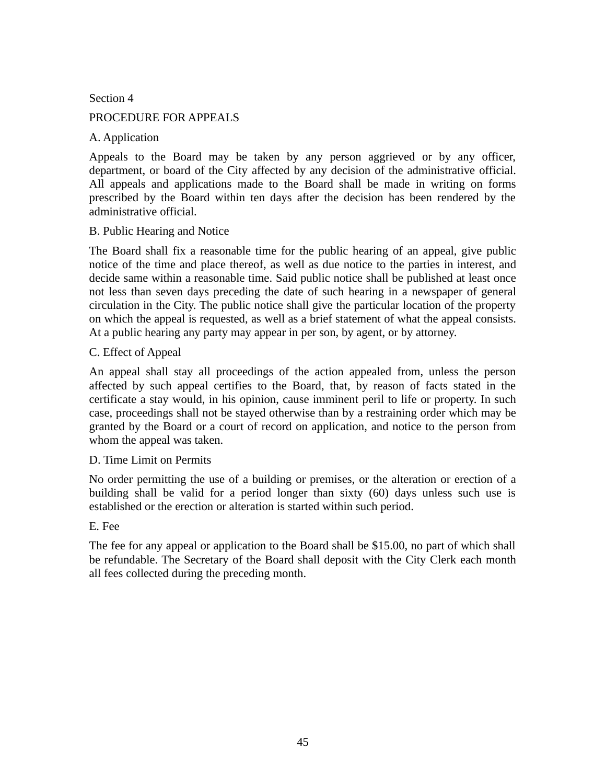Section 4

## PROCEDURE FOR APPEALS

## A. Application

Appeals to the Board may be taken by any person aggrieved or by any officer, department, or board of the City affected by any decision of the administrative official. All appeals and applications made to the Board shall be made in writing on forms prescribed by the Board within ten days after the decision has been rendered by the administrative official.

### B. Public Hearing and Notice

The Board shall fix a reasonable time for the public hearing of an appeal, give public notice of the time and place thereof, as well as due notice to the parties in interest, and decide same within a reasonable time. Said public notice shall be published at least once not less than seven days preceding the date of such hearing in a newspaper of general circulation in the City. The public notice shall give the particular location of the property on which the appeal is requested, as well as a brief statement of what the appeal consists. At a public hearing any party may appear in per son, by agent, or by attorney.

## C. Effect of Appeal

An appeal shall stay all proceedings of the action appealed from, unless the person affected by such appeal certifies to the Board, that, by reason of facts stated in the certificate a stay would, in his opinion, cause imminent peril to life or property. In such case, proceedings shall not be stayed otherwise than by a restraining order which may be granted by the Board or a court of record on application, and notice to the person from whom the appeal was taken.

### D. Time Limit on Permits

No order permitting the use of a building or premises, or the alteration or erection of a building shall be valid for a period longer than sixty (60) days unless such use is established or the erection or alteration is started within such period.

### E. Fee

The fee for any appeal or application to the Board shall be \$15.00, no part of which shall be refundable. The Secretary of the Board shall deposit with the City Clerk each month all fees collected during the preceding month.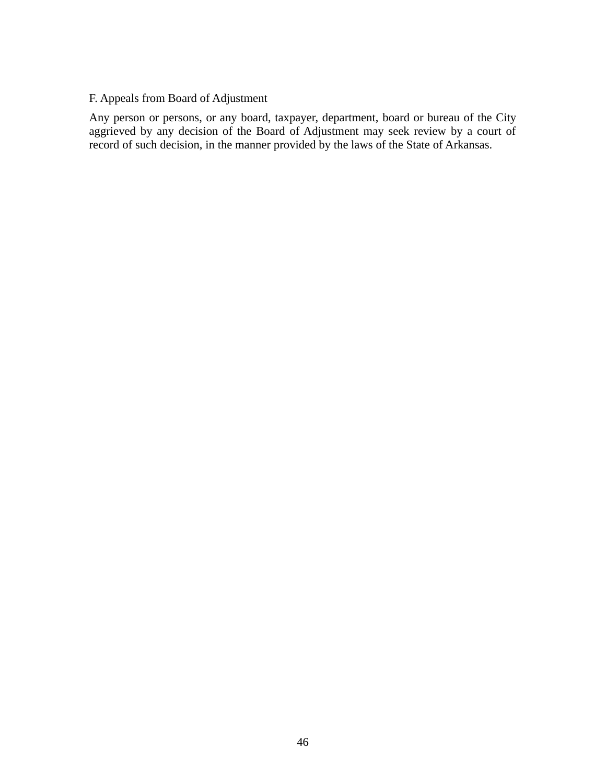## F. Appeals from Board of Adjustment

Any person or persons, or any board, taxpayer, department, board or bureau of the City aggrieved by any decision of the Board of Adjustment may seek review by a court of record of such decision, in the manner provided by the laws of the State of Arkansas.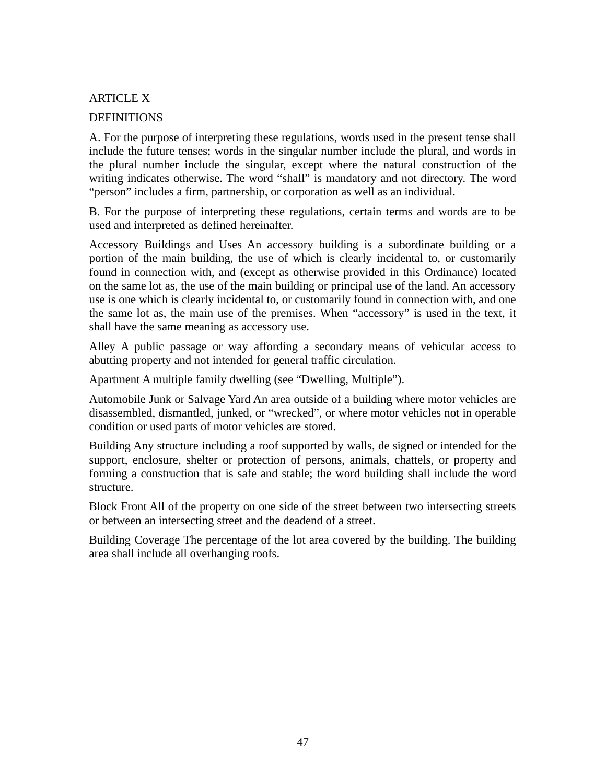# ARTICLE X

### **DEFINITIONS**

A. For the purpose of interpreting these regulations, words used in the present tense shall include the future tenses; words in the singular number include the plural, and words in the plural number include the singular, except where the natural construction of the writing indicates otherwise. The word "shall" is mandatory and not directory. The word "person" includes a firm, partnership, or corporation as well as an individual.

B. For the purpose of interpreting these regulations, certain terms and words are to be used and interpreted as defined hereinafter.

Accessory Buildings and Uses An accessory building is a subordinate building or a portion of the main building, the use of which is clearly incidental to, or customarily found in connection with, and (except as otherwise provided in this Ordinance) located on the same lot as, the use of the main building or principal use of the land. An accessory use is one which is clearly incidental to, or customarily found in connection with, and one the same lot as, the main use of the premises. When "accessory" is used in the text, it shall have the same meaning as accessory use.

Alley A public passage or way affording a secondary means of vehicular access to abutting property and not intended for general traffic circulation.

Apartment A multiple family dwelling (see "Dwelling, Multiple").

Automobile Junk or Salvage Yard An area outside of a building where motor vehicles are disassembled, dismantled, junked, or "wrecked", or where motor vehicles not in operable condition or used parts of motor vehicles are stored.

Building Any structure including a roof supported by walls, de signed or intended for the support, enclosure, shelter or protection of persons, animals, chattels, or property and forming a construction that is safe and stable; the word building shall include the word structure.

Block Front All of the property on one side of the street between two intersecting streets or between an intersecting street and the deadend of a street.

Building Coverage The percentage of the lot area covered by the building. The building area shall include all overhanging roofs.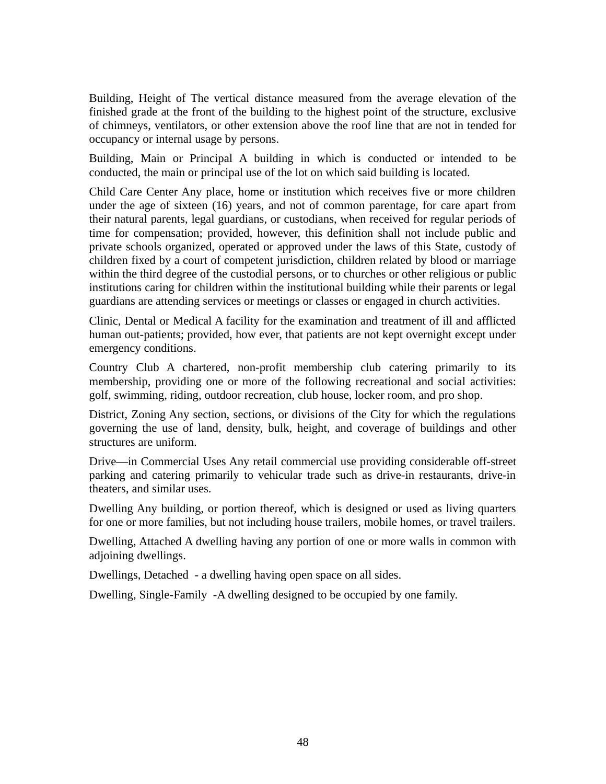Building, Height of The vertical distance measured from the average elevation of the finished grade at the front of the building to the highest point of the structure, exclusive of chimneys, ventilators, or other extension above the roof line that are not in tended for occupancy or internal usage by persons.

Building, Main or Principal A building in which is conducted or intended to be conducted, the main or principal use of the lot on which said building is located.

Child Care Center Any place, home or institution which receives five or more children under the age of sixteen (16) years, and not of common parentage, for care apart from their natural parents, legal guardians, or custodians, when received for regular periods of time for compensation; provided, however, this definition shall not include public and private schools organized, operated or approved under the laws of this State, custody of children fixed by a court of competent jurisdiction, children related by blood or marriage within the third degree of the custodial persons, or to churches or other religious or public institutions caring for children within the institutional building while their parents or legal guardians are attending services or meetings or classes or engaged in church activities.

Clinic, Dental or Medical A facility for the examination and treatment of ill and afflicted human out-patients; provided, how ever, that patients are not kept overnight except under emergency conditions.

Country Club A chartered, non-profit membership club catering primarily to its membership, providing one or more of the following recreational and social activities: golf, swimming, riding, outdoor recreation, club house, locker room, and pro shop.

District, Zoning Any section, sections, or divisions of the City for which the regulations governing the use of land, density, bulk, height, and coverage of buildings and other structures are uniform.

Drive—in Commercial Uses Any retail commercial use providing considerable off-street parking and catering primarily to vehicular trade such as drive-in restaurants, drive-in theaters, and similar uses.

Dwelling Any building, or portion thereof, which is designed or used as living quarters for one or more families, but not including house trailers, mobile homes, or travel trailers.

Dwelling, Attached A dwelling having any portion of one or more walls in common with adjoining dwellings.

Dwellings, Detached - a dwelling having open space on all sides.

Dwelling, Single-Family -A dwelling designed to be occupied by one family.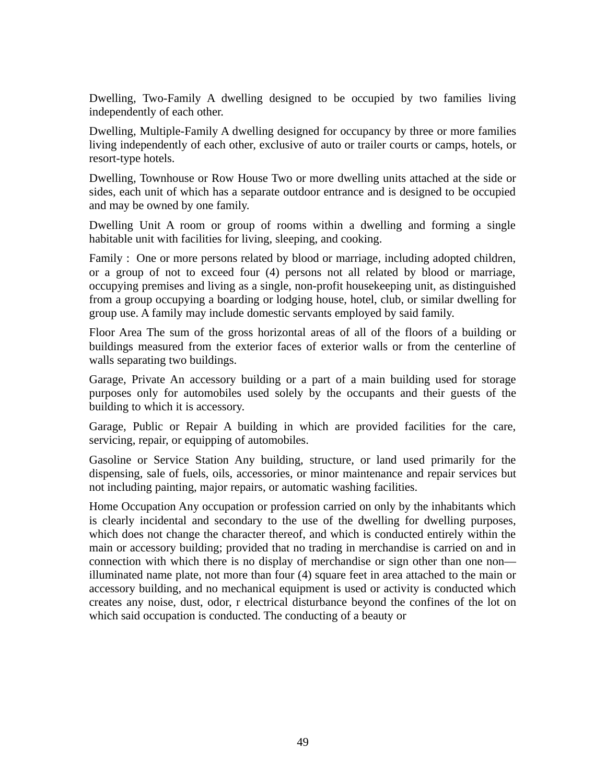Dwelling, Two-Family A dwelling designed to be occupied by two families living independently of each other.

Dwelling, Multiple-Family A dwelling designed for occupancy by three or more families living independently of each other, exclusive of auto or trailer courts or camps, hotels, or resort-type hotels.

Dwelling, Townhouse or Row House Two or more dwelling units attached at the side or sides, each unit of which has a separate outdoor entrance and is designed to be occupied and may be owned by one family.

Dwelling Unit A room or group of rooms within a dwelling and forming a single habitable unit with facilities for living, sleeping, and cooking.

Family : One or more persons related by blood or marriage, including adopted children, or a group of not to exceed four (4) persons not all related by blood or marriage, occupying premises and living as a single, non-profit housekeeping unit, as distinguished from a group occupying a boarding or lodging house, hotel, club, or similar dwelling for group use. A family may include domestic servants employed by said family.

Floor Area The sum of the gross horizontal areas of all of the floors of a building or buildings measured from the exterior faces of exterior walls or from the centerline of walls separating two buildings.

Garage, Private An accessory building or a part of a main building used for storage purposes only for automobiles used solely by the occupants and their guests of the building to which it is accessory.

Garage, Public or Repair A building in which are provided facilities for the care, servicing, repair, or equipping of automobiles.

Gasoline or Service Station Any building, structure, or land used primarily for the dispensing, sale of fuels, oils, accessories, or minor maintenance and repair services but not including painting, major repairs, or automatic washing facilities.

Home Occupation Any occupation or profession carried on only by the inhabitants which is clearly incidental and secondary to the use of the dwelling for dwelling purposes, which does not change the character thereof, and which is conducted entirely within the main or accessory building; provided that no trading in merchandise is carried on and in connection with which there is no display of merchandise or sign other than one non illuminated name plate, not more than four (4) square feet in area attached to the main or accessory building, and no mechanical equipment is used or activity is conducted which creates any noise, dust, odor, r electrical disturbance beyond the confines of the lot on which said occupation is conducted. The conducting of a beauty or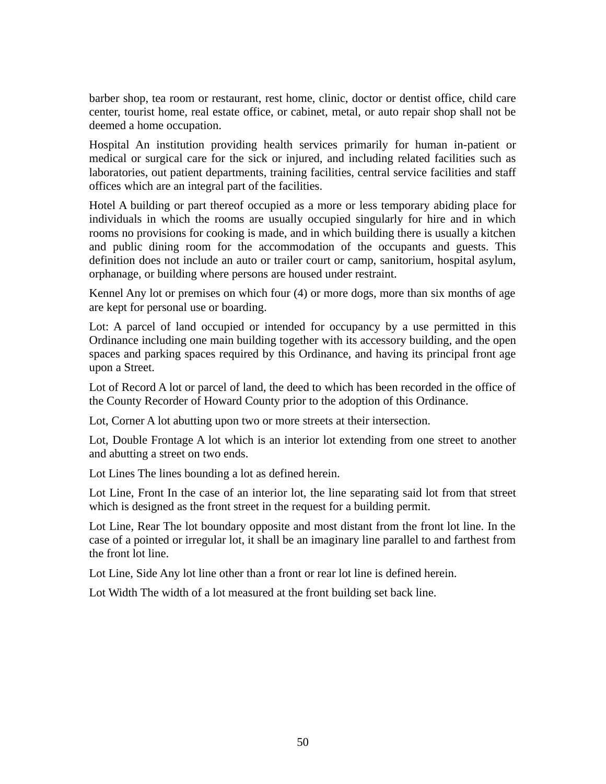barber shop, tea room or restaurant, rest home, clinic, doctor or dentist office, child care center, tourist home, real estate office, or cabinet, metal, or auto repair shop shall not be deemed a home occupation.

Hospital An institution providing health services primarily for human in-patient or medical or surgical care for the sick or injured, and including related facilities such as laboratories, out patient departments, training facilities, central service facilities and staff offices which are an integral part of the facilities.

Hotel A building or part thereof occupied as a more or less temporary abiding place for individuals in which the rooms are usually occupied singularly for hire and in which rooms no provisions for cooking is made, and in which building there is usually a kitchen and public dining room for the accommodation of the occupants and guests. This definition does not include an auto or trailer court or camp, sanitorium, hospital asylum, orphanage, or building where persons are housed under restraint.

Kennel Any lot or premises on which four (4) or more dogs, more than six months of age are kept for personal use or boarding.

Lot: A parcel of land occupied or intended for occupancy by a use permitted in this Ordinance including one main building together with its accessory building, and the open spaces and parking spaces required by this Ordinance, and having its principal front age upon a Street.

Lot of Record A lot or parcel of land, the deed to which has been recorded in the office of the County Recorder of Howard County prior to the adoption of this Ordinance.

Lot, Corner A lot abutting upon two or more streets at their intersection.

Lot, Double Frontage A lot which is an interior lot extending from one street to another and abutting a street on two ends.

Lot Lines The lines bounding a lot as defined herein.

Lot Line, Front In the case of an interior lot, the line separating said lot from that street which is designed as the front street in the request for a building permit.

Lot Line, Rear The lot boundary opposite and most distant from the front lot line. In the case of a pointed or irregular lot, it shall be an imaginary line parallel to and farthest from the front lot line.

Lot Line, Side Any lot line other than a front or rear lot line is defined herein.

Lot Width The width of a lot measured at the front building set back line.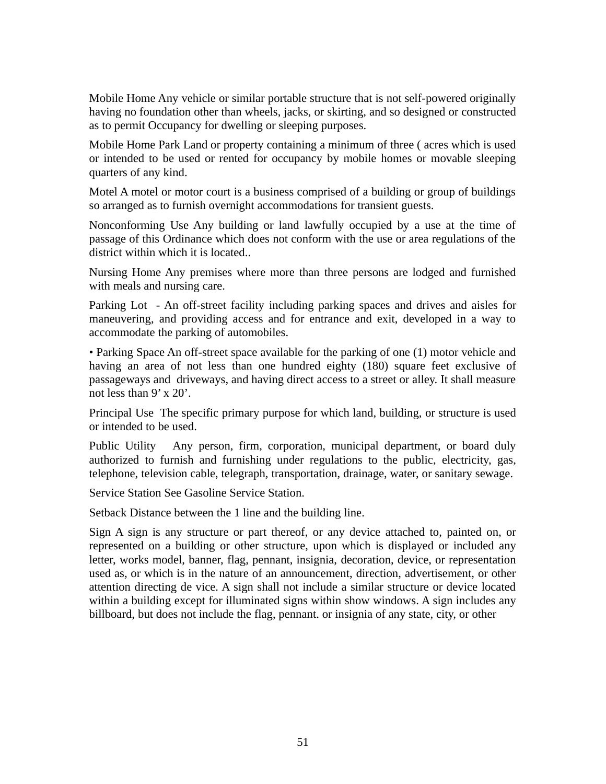Mobile Home Any vehicle or similar portable structure that is not self-powered originally having no foundation other than wheels, jacks, or skirting, and so designed or constructed as to permit Occupancy for dwelling or sleeping purposes.

Mobile Home Park Land or property containing a minimum of three ( acres which is used or intended to be used or rented for occupancy by mobile homes or movable sleeping quarters of any kind.

Motel A motel or motor court is a business comprised of a building or group of buildings so arranged as to furnish overnight accommodations for transient guests.

Nonconforming Use Any building or land lawfully occupied by a use at the time of passage of this Ordinance which does not conform with the use or area regulations of the district within which it is located.

Nursing Home Any premises where more than three persons are lodged and furnished with meals and nursing care.

Parking Lot - An off-street facility including parking spaces and drives and aisles for maneuvering, and providing access and for entrance and exit, developed in a way to accommodate the parking of automobiles.

• Parking Space An off-street space available for the parking of one (1) motor vehicle and having an area of not less than one hundred eighty (180) square feet exclusive of passageways and driveways, and having direct access to a street or alley. It shall measure not less than 9' x 20'.

Principal Use The specific primary purpose for which land, building, or structure is used or intended to be used.

Public Utility Any person, firm, corporation, municipal department, or board duly authorized to furnish and furnishing under regulations to the public, electricity, gas, telephone, television cable, telegraph, transportation, drainage, water, or sanitary sewage.

Service Station See Gasoline Service Station.

Setback Distance between the 1 line and the building line.

Sign A sign is any structure or part thereof, or any device attached to, painted on, or represented on a building or other structure, upon which is displayed or included any letter, works model, banner, flag, pennant, insignia, decoration, device, or representation used as, or which is in the nature of an announcement, direction, advertisement, or other attention directing de vice. A sign shall not include a similar structure or device located within a building except for illuminated signs within show windows. A sign includes any billboard, but does not include the flag, pennant. or insignia of any state, city, or other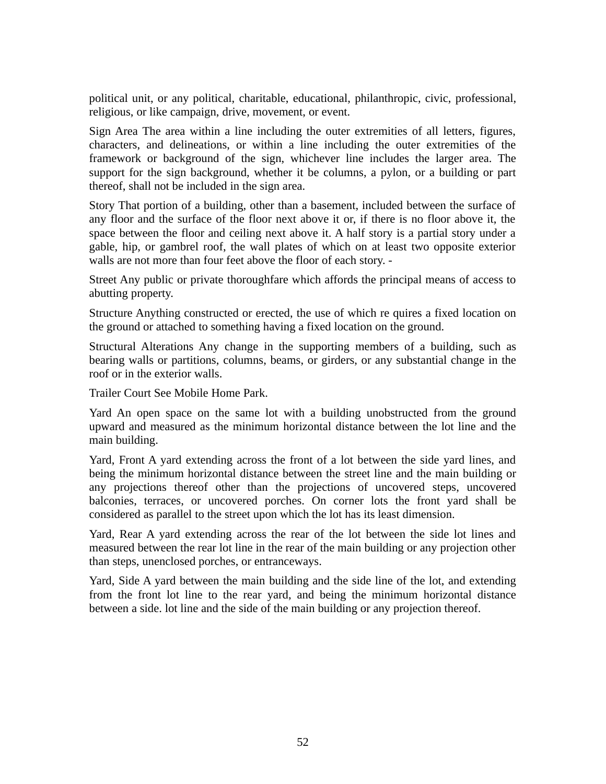political unit, or any political, charitable, educational, philanthropic, civic, professional, religious, or like campaign, drive, movement, or event.

Sign Area The area within a line including the outer extremities of all letters, figures, characters, and delineations, or within a line including the outer extremities of the framework or background of the sign, whichever line includes the larger area. The support for the sign background, whether it be columns, a pylon, or a building or part thereof, shall not be included in the sign area.

Story That portion of a building, other than a basement, included between the surface of any floor and the surface of the floor next above it or, if there is no floor above it, the space between the floor and ceiling next above it. A half story is a partial story under a gable, hip, or gambrel roof, the wall plates of which on at least two opposite exterior walls are not more than four feet above the floor of each story. -

Street Any public or private thoroughfare which affords the principal means of access to abutting property.

Structure Anything constructed or erected, the use of which re quires a fixed location on the ground or attached to something having a fixed location on the ground.

Structural Alterations Any change in the supporting members of a building, such as bearing walls or partitions, columns, beams, or girders, or any substantial change in the roof or in the exterior walls.

Trailer Court See Mobile Home Park.

Yard An open space on the same lot with a building unobstructed from the ground upward and measured as the minimum horizontal distance between the lot line and the main building.

Yard, Front A yard extending across the front of a lot between the side yard lines, and being the minimum horizontal distance between the street line and the main building or any projections thereof other than the projections of uncovered steps, uncovered balconies, terraces, or uncovered porches. On corner lots the front yard shall be considered as parallel to the street upon which the lot has its least dimension.

Yard, Rear A yard extending across the rear of the lot between the side lot lines and measured between the rear lot line in the rear of the main building or any projection other than steps, unenclosed porches, or entranceways.

Yard, Side A yard between the main building and the side line of the lot, and extending from the front lot line to the rear yard, and being the minimum horizontal distance between a side. lot line and the side of the main building or any projection thereof.